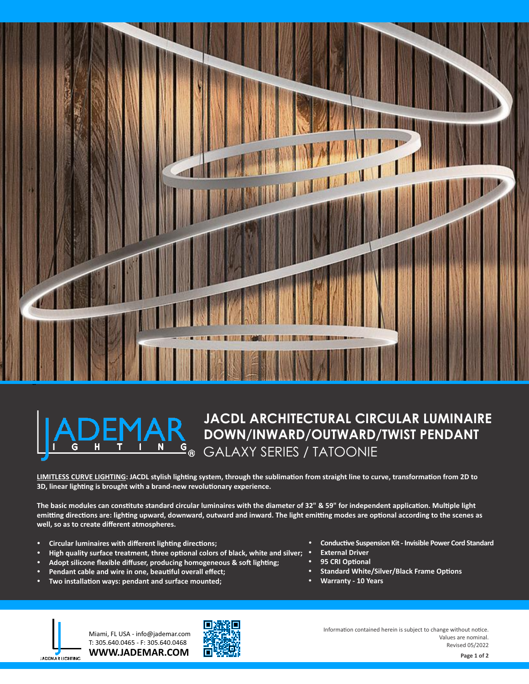

# **JACDL ARCHITECTURAL CIRCULAR LUMINAIRE DOWN/INWARD/OUTWARD/TWIST PENDANT** GALAXY SERIES / TATOONIE

LIMITLESS CURVE LIGHTING: JACDL stylish lighting system, through the sublimation from straight line to curve, transformation from 2D to **3D, linear lighting is brought with a brand-new revolutionary experience.** 

The basic modules can constitute standard circular luminaires with the diameter of 32" & 59" for independent application. Multiple light emitting directions are: lighting upward, downward, outward and inward. The light emitting modes are optional according to the scenes as **well, so as to create different atmospheres.**

- **Circular luminaires with different lighting directions;**
- \* High quality surface treatment, three optional colors of black, white and silver; \*
- **Adopt silicone flexible diffuser, producing homogeneous & soft lighting;**
- **•** Pendant cable and wire in one, beautiful overall effect;
- Two installation ways: pendant and surface mounted;
- **Conductive Suspension Kit Invisible Power Cord Standard**
- **External Driver**
- **95 CRI Optional**
- **Standard White/Silver/Black Frame Options**
- **•** Warranty 10 Years



**WWW.JADEMAR.COM** Miami, FL USA - info@jademar.com T: 305.640.0465 - F: 305.640.0468



Information contained herein is subject to change without notice. Values are nominal. Revised 05/2022